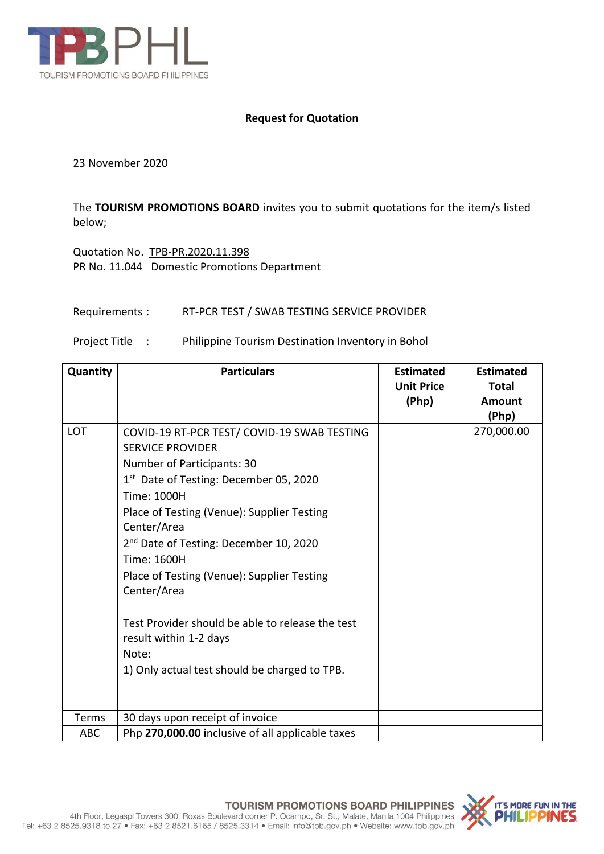

## **Request for Quotation**

23 November 2020

The **TOURISM PROMOTIONS BOARD** invites you to submit quotations for the item/s listed below;

Quotation No. TPB-PR.2020.11.398 PR No. 11.044 Domestic Promotions Department

## Requirements : RT-PCR TEST / SWAB TESTING SERVICE PROVIDER

## Project Title : Philippine Tourism Destination Inventory in Bohol

| Quantity   | <b>Particulars</b>                                                                                                                                                                                                                                                                                                                                                                                                                                                                                               | <b>Estimated</b><br><b>Unit Price</b><br>(Php) | <b>Estimated</b><br>Total<br>Amount<br>(Php) |
|------------|------------------------------------------------------------------------------------------------------------------------------------------------------------------------------------------------------------------------------------------------------------------------------------------------------------------------------------------------------------------------------------------------------------------------------------------------------------------------------------------------------------------|------------------------------------------------|----------------------------------------------|
| LOT        | COVID-19 RT-PCR TEST/ COVID-19 SWAB TESTING<br><b>SERVICE PROVIDER</b><br>Number of Participants: 30<br>1 <sup>st</sup> Date of Testing: December 05, 2020<br>Time: 1000H<br>Place of Testing (Venue): Supplier Testing<br>Center/Area<br>2 <sup>nd</sup> Date of Testing: December 10, 2020<br>Time: 1600H<br>Place of Testing (Venue): Supplier Testing<br>Center/Area<br>Test Provider should be able to release the test<br>result within 1-2 days<br>Note:<br>1) Only actual test should be charged to TPB. |                                                | 270,000.00                                   |
| Terms      | 30 days upon receipt of invoice                                                                                                                                                                                                                                                                                                                                                                                                                                                                                  |                                                |                                              |
| <b>ABC</b> | Php 270,000.00 inclusive of all applicable taxes                                                                                                                                                                                                                                                                                                                                                                                                                                                                 |                                                |                                              |